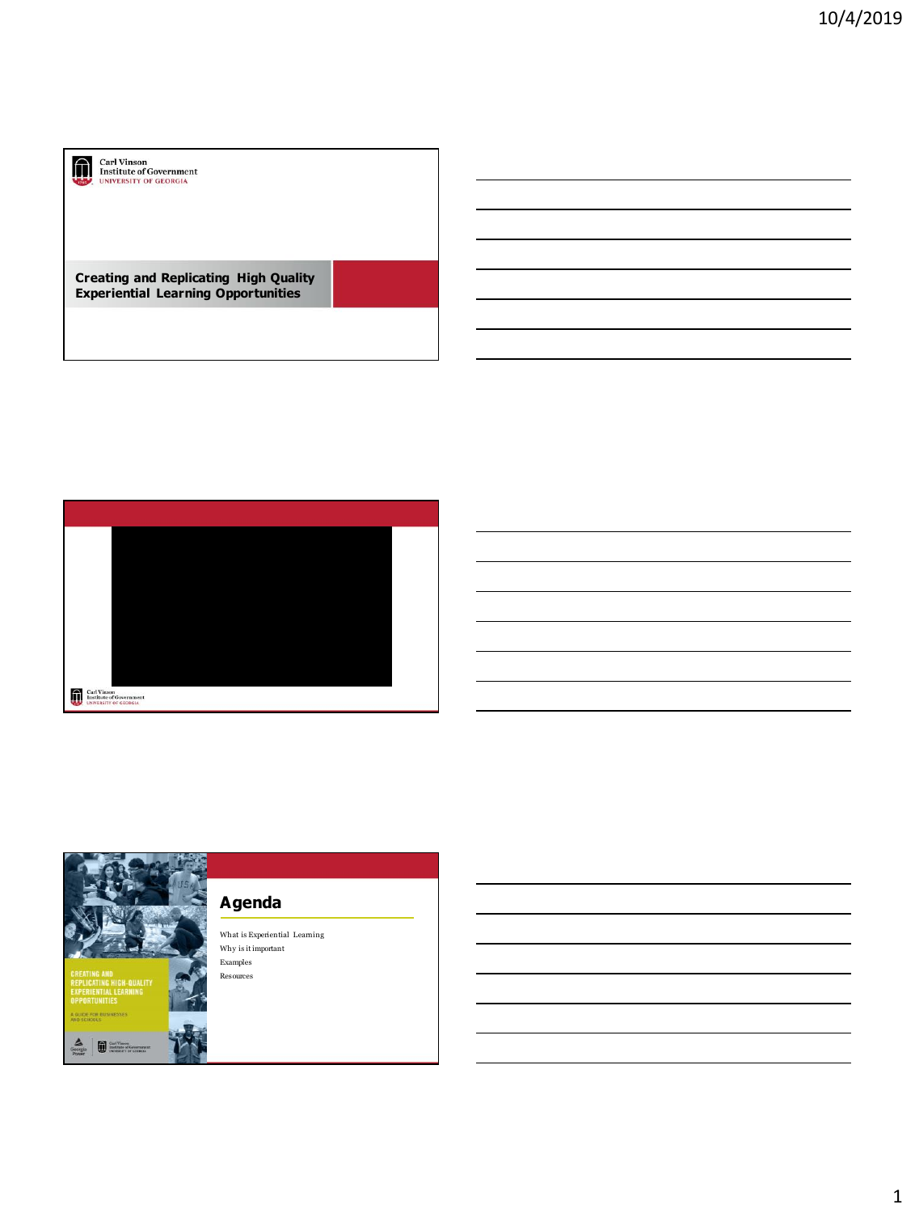

## Carl Vinson<br>Institute of Government<br>UNIVERSITY OF GEORGIA

**Creating and Replicating High Quality Experiential Learning Opportunities**



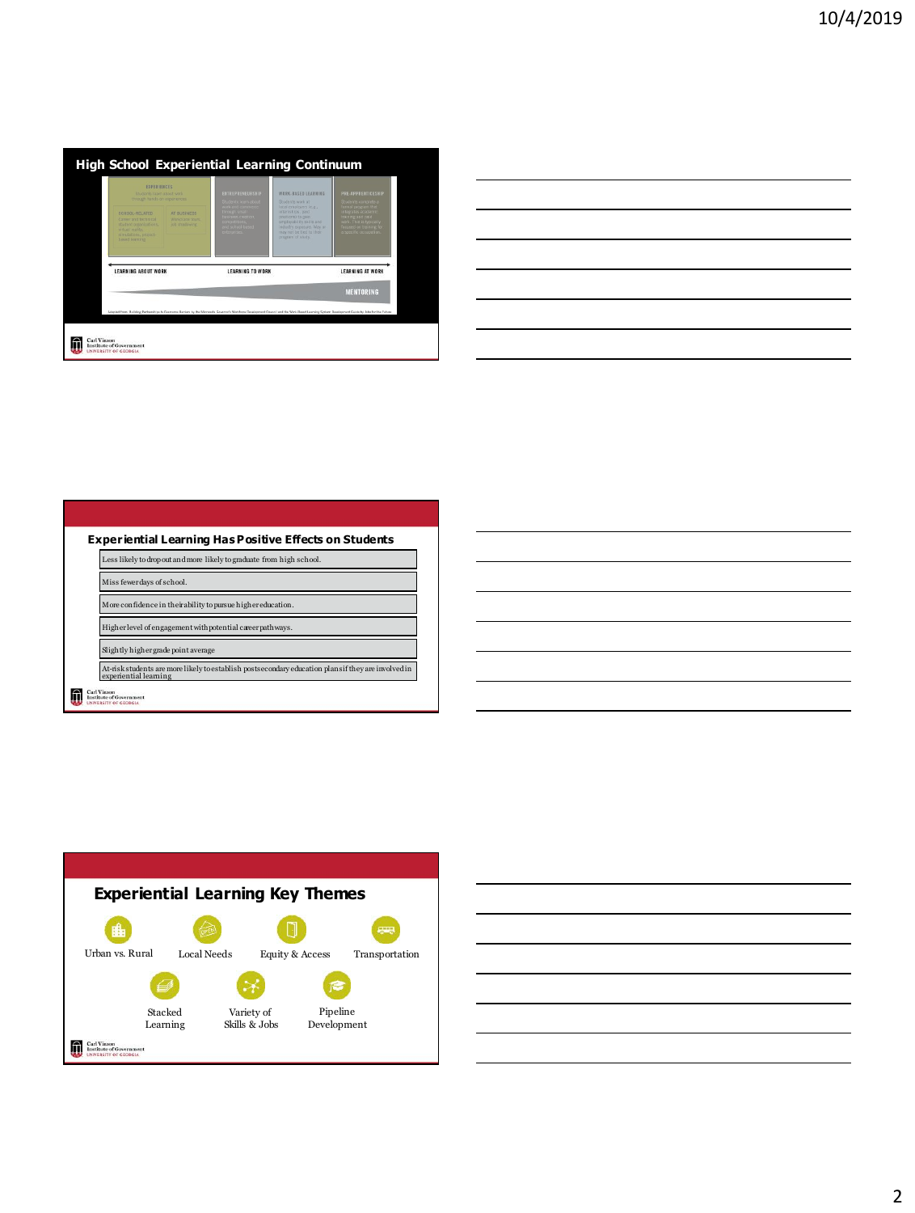| <b>EXPERIENCES</b><br>Shydants taarn atout with<br>through hands on experiences.                                                 |                                                  | ENTREPRENEURSHIP<br>Students Team about                                                                       | WORK-BASED LEARNING<br>Shaterits work at<br>local employers (e.g.)<br>internships, paid<br>positions) to gain.<br>prolovability skills and<br>industry exposure. May or<br>may not be tied to their<br>program of study. | PRE-APPRENTICESHIP<br>6 estomo ambiento                                                                                                   |
|----------------------------------------------------------------------------------------------------------------------------------|--------------------------------------------------|---------------------------------------------------------------------------------------------------------------|--------------------------------------------------------------------------------------------------------------------------------------------------------------------------------------------------------------------------|-------------------------------------------------------------------------------------------------------------------------------------------|
| SCHOOL-RELATED<br>Career and technical<br>student presentantions.<br>virtual reality.<br>simulations, project-<br>breed learning | AT BUSINESS<br>Workplace tours.<br>ich shadowing | work and commerce<br>through small<br>business creation,<br>compatitions,<br>and school-based<br>enterprises. |                                                                                                                                                                                                                          | ormal program that<br>tegrates academi<br>bited beis sminist<br>work. This is typically<br>focused on training for<br>specific occupation |
| LEARNING ABOUT WORK                                                                                                              |                                                  | <b>LEARNING TO WORK</b>                                                                                       |                                                                                                                                                                                                                          | <b>LEARNING AT WORK</b>                                                                                                                   |
|                                                                                                                                  |                                                  |                                                                                                               |                                                                                                                                                                                                                          | <b>MENTORING</b>                                                                                                                          |

## **Experiential Learning Has Positive Effects on Students**  Less likely to drop out and more likely to graduate from high school. Miss fewer days of school. More confidence in their ability to pursue higher education. Higher level of engagement with potential career pathways. Slightly higher grade point ave At-risk students are more likely to establish postsecondary education plans if they are involved in experiential learning Carl Vinson<br>Institute of Go



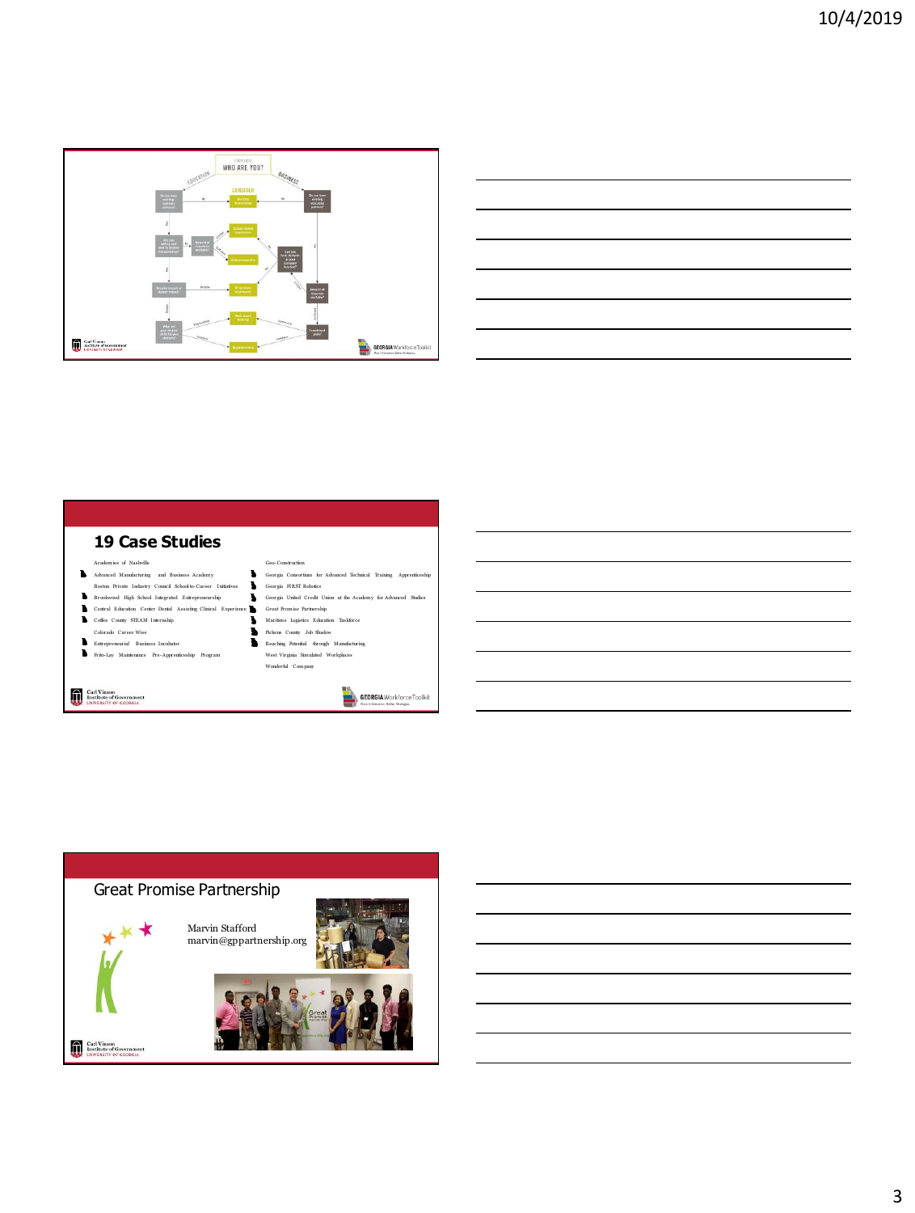



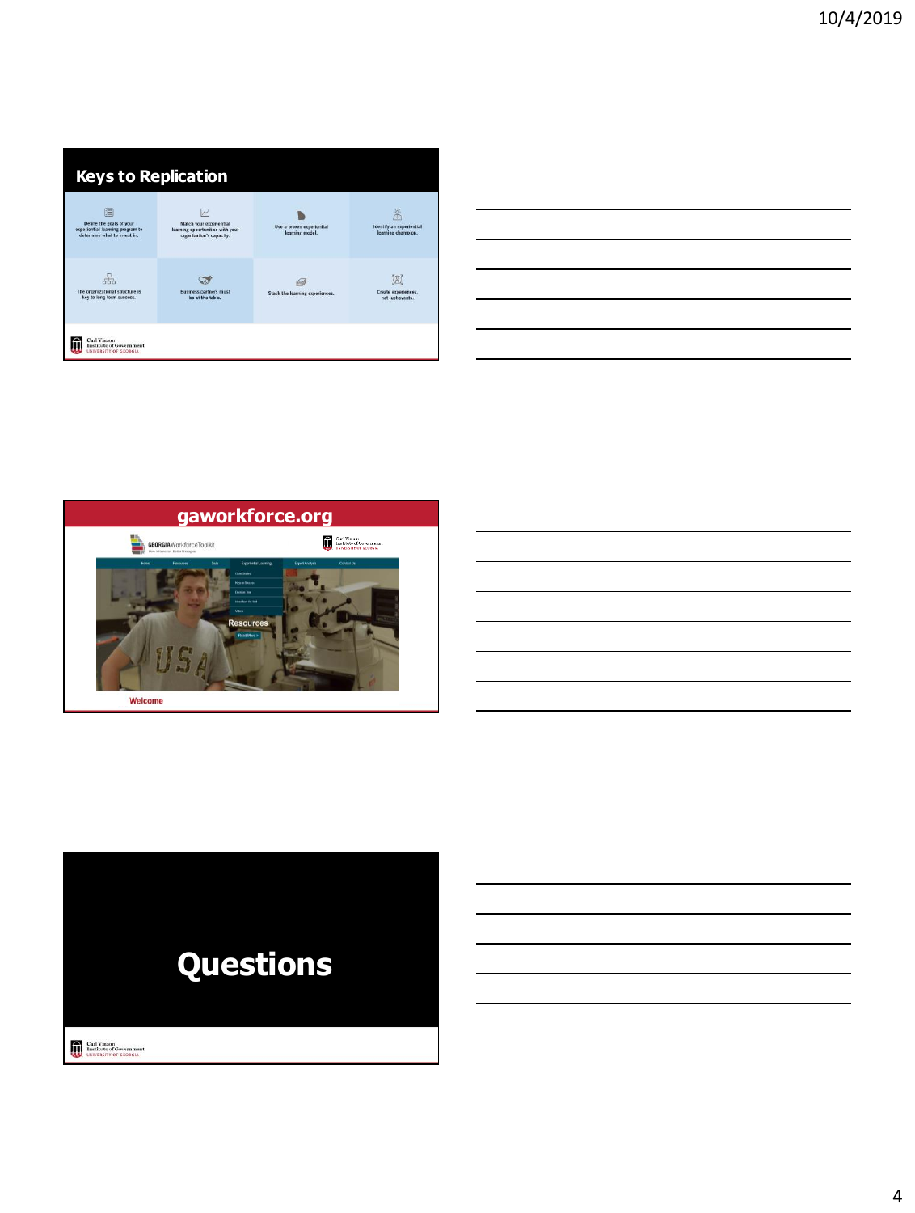